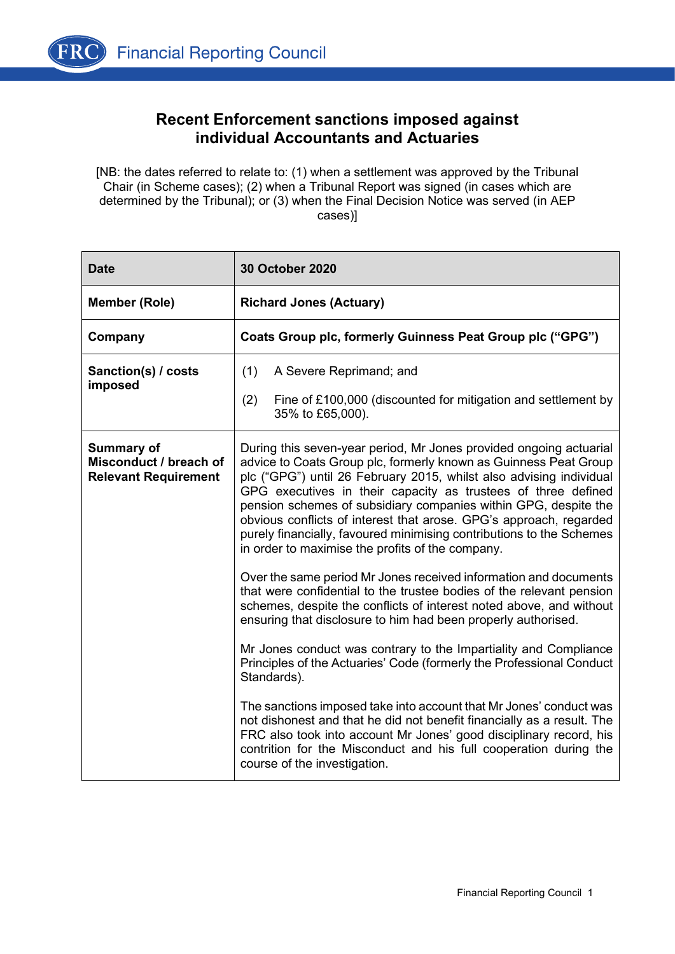

## **Recent Enforcement sanctions imposed against individual Accountants and Actuaries**

[NB: the dates referred to relate to: (1) when a settlement was approved by the Tribunal Chair (in Scheme cases); (2) when a Tribunal Report was signed (in cases which are determined by the Tribunal); or (3) when the Final Decision Notice was served (in AEP cases)]

| <b>Date</b>                                                                | <b>30 October 2020</b>                                                                                                                                                                                                                                                                                                                                                                                                                                                                                                                              |
|----------------------------------------------------------------------------|-----------------------------------------------------------------------------------------------------------------------------------------------------------------------------------------------------------------------------------------------------------------------------------------------------------------------------------------------------------------------------------------------------------------------------------------------------------------------------------------------------------------------------------------------------|
| <b>Member (Role)</b>                                                       | <b>Richard Jones (Actuary)</b>                                                                                                                                                                                                                                                                                                                                                                                                                                                                                                                      |
| Company                                                                    | Coats Group plc, formerly Guinness Peat Group plc ("GPG")                                                                                                                                                                                                                                                                                                                                                                                                                                                                                           |
| Sanction(s) / costs<br>imposed                                             | (1)<br>A Severe Reprimand; and<br>Fine of £100,000 (discounted for mitigation and settlement by<br>(2)<br>35% to £65,000).                                                                                                                                                                                                                                                                                                                                                                                                                          |
| <b>Summary of</b><br>Misconduct / breach of<br><b>Relevant Requirement</b> | During this seven-year period, Mr Jones provided ongoing actuarial<br>advice to Coats Group plc, formerly known as Guinness Peat Group<br>plc ("GPG") until 26 February 2015, whilst also advising individual<br>GPG executives in their capacity as trustees of three defined<br>pension schemes of subsidiary companies within GPG, despite the<br>obvious conflicts of interest that arose. GPG's approach, regarded<br>purely financially, favoured minimising contributions to the Schemes<br>in order to maximise the profits of the company. |
|                                                                            | Over the same period Mr Jones received information and documents<br>that were confidential to the trustee bodies of the relevant pension<br>schemes, despite the conflicts of interest noted above, and without<br>ensuring that disclosure to him had been properly authorised.<br>Mr Jones conduct was contrary to the Impartiality and Compliance                                                                                                                                                                                                |
|                                                                            | Principles of the Actuaries' Code (formerly the Professional Conduct<br>Standards).                                                                                                                                                                                                                                                                                                                                                                                                                                                                 |
|                                                                            | The sanctions imposed take into account that Mr Jones' conduct was<br>not dishonest and that he did not benefit financially as a result. The<br>FRC also took into account Mr Jones' good disciplinary record, his<br>contrition for the Misconduct and his full cooperation during the<br>course of the investigation.                                                                                                                                                                                                                             |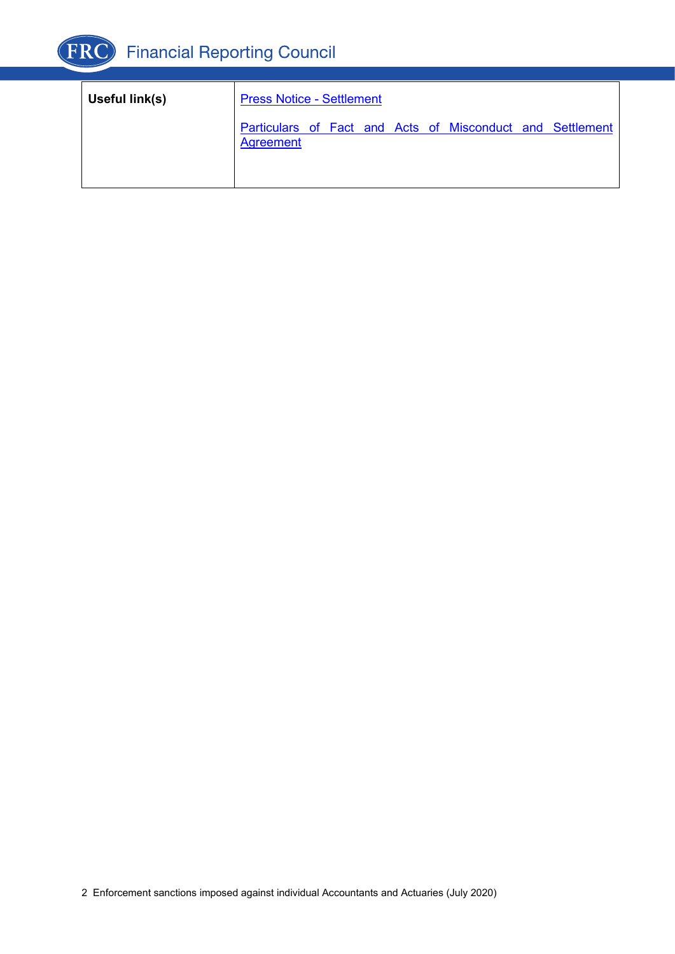

| Useful link(s) | <b>Press Notice - Settlement</b> |  |  |                                                           |  |
|----------------|----------------------------------|--|--|-----------------------------------------------------------|--|
|                | Agreement                        |  |  | Particulars of Fact and Acts of Misconduct and Settlement |  |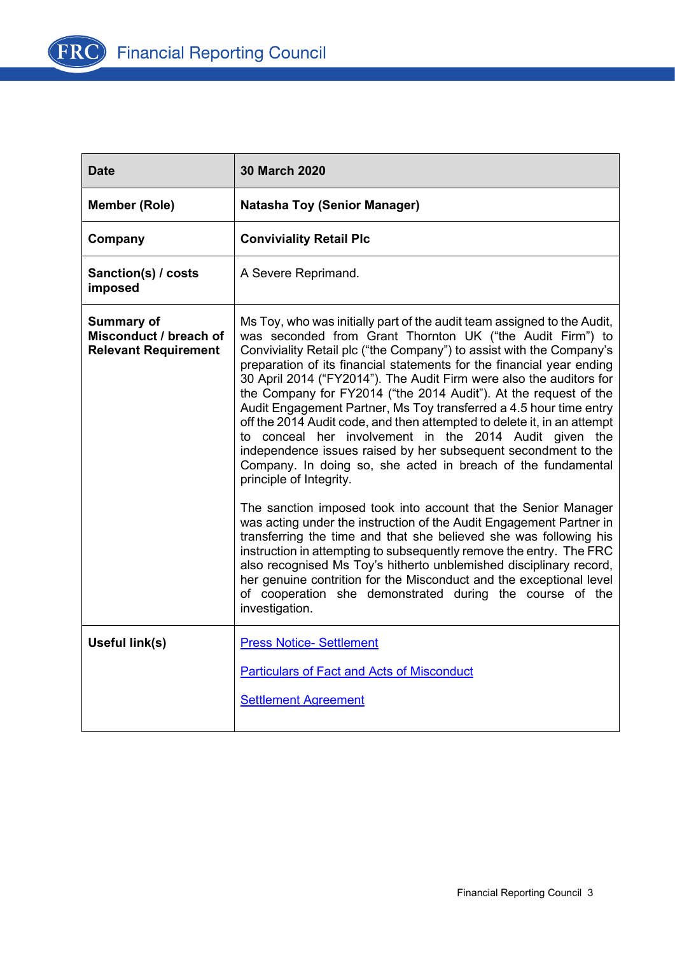

| <b>Date</b>                                                                | <b>30 March 2020</b>                                                                                                                                                                                                                                                                                                                                                                                                                                                                                                                                                                                                                                                                                                                                                                                                                                                                                                                                                                                                                                                                                                                                                                                                                                                                                                     |
|----------------------------------------------------------------------------|--------------------------------------------------------------------------------------------------------------------------------------------------------------------------------------------------------------------------------------------------------------------------------------------------------------------------------------------------------------------------------------------------------------------------------------------------------------------------------------------------------------------------------------------------------------------------------------------------------------------------------------------------------------------------------------------------------------------------------------------------------------------------------------------------------------------------------------------------------------------------------------------------------------------------------------------------------------------------------------------------------------------------------------------------------------------------------------------------------------------------------------------------------------------------------------------------------------------------------------------------------------------------------------------------------------------------|
| <b>Member (Role)</b>                                                       | <b>Natasha Toy (Senior Manager)</b>                                                                                                                                                                                                                                                                                                                                                                                                                                                                                                                                                                                                                                                                                                                                                                                                                                                                                                                                                                                                                                                                                                                                                                                                                                                                                      |
| Company                                                                    | <b>Conviviality Retail Plc</b>                                                                                                                                                                                                                                                                                                                                                                                                                                                                                                                                                                                                                                                                                                                                                                                                                                                                                                                                                                                                                                                                                                                                                                                                                                                                                           |
| Sanction(s) / costs<br>imposed                                             | A Severe Reprimand.                                                                                                                                                                                                                                                                                                                                                                                                                                                                                                                                                                                                                                                                                                                                                                                                                                                                                                                                                                                                                                                                                                                                                                                                                                                                                                      |
| <b>Summary of</b><br>Misconduct / breach of<br><b>Relevant Requirement</b> | Ms Toy, who was initially part of the audit team assigned to the Audit,<br>was seconded from Grant Thornton UK ("the Audit Firm") to<br>Conviviality Retail plc ("the Company") to assist with the Company's<br>preparation of its financial statements for the financial year ending<br>30 April 2014 ("FY2014"). The Audit Firm were also the auditors for<br>the Company for FY2014 ("the 2014 Audit"). At the request of the<br>Audit Engagement Partner, Ms Toy transferred a 4.5 hour time entry<br>off the 2014 Audit code, and then attempted to delete it, in an attempt<br>to conceal her involvement in the 2014 Audit given the<br>independence issues raised by her subsequent secondment to the<br>Company. In doing so, she acted in breach of the fundamental<br>principle of Integrity.<br>The sanction imposed took into account that the Senior Manager<br>was acting under the instruction of the Audit Engagement Partner in<br>transferring the time and that she believed she was following his<br>instruction in attempting to subsequently remove the entry. The FRC<br>also recognised Ms Toy's hitherto unblemished disciplinary record,<br>her genuine contrition for the Misconduct and the exceptional level<br>of cooperation she demonstrated during the course of the<br>investigation. |
| Useful link(s)                                                             | <b>Press Notice- Settlement</b><br><b>Particulars of Fact and Acts of Misconduct</b>                                                                                                                                                                                                                                                                                                                                                                                                                                                                                                                                                                                                                                                                                                                                                                                                                                                                                                                                                                                                                                                                                                                                                                                                                                     |
|                                                                            | <b>Settlement Agreement</b>                                                                                                                                                                                                                                                                                                                                                                                                                                                                                                                                                                                                                                                                                                                                                                                                                                                                                                                                                                                                                                                                                                                                                                                                                                                                                              |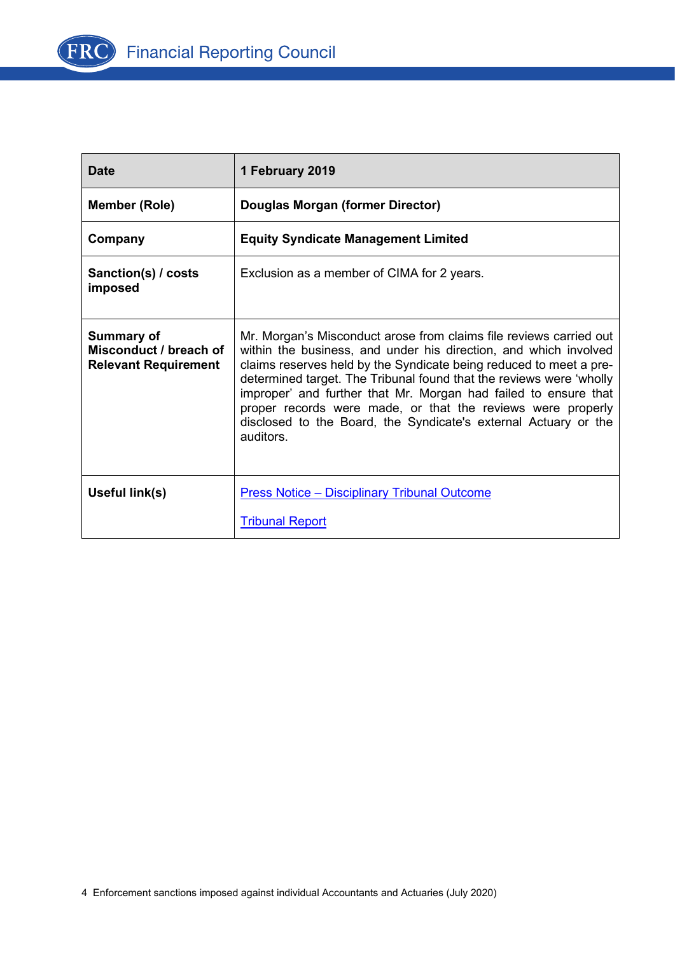

| <b>Date</b>                                                         | 1 February 2019                                                                                                                                                                                                                                                                                                                                                                                                                                                                                       |
|---------------------------------------------------------------------|-------------------------------------------------------------------------------------------------------------------------------------------------------------------------------------------------------------------------------------------------------------------------------------------------------------------------------------------------------------------------------------------------------------------------------------------------------------------------------------------------------|
| <b>Member (Role)</b>                                                | Douglas Morgan (former Director)                                                                                                                                                                                                                                                                                                                                                                                                                                                                      |
| Company                                                             | <b>Equity Syndicate Management Limited</b>                                                                                                                                                                                                                                                                                                                                                                                                                                                            |
| Sanction(s) / costs<br>imposed                                      | Exclusion as a member of CIMA for 2 years.                                                                                                                                                                                                                                                                                                                                                                                                                                                            |
| Summary of<br>Misconduct / breach of<br><b>Relevant Requirement</b> | Mr. Morgan's Misconduct arose from claims file reviews carried out<br>within the business, and under his direction, and which involved<br>claims reserves held by the Syndicate being reduced to meet a pre-<br>determined target. The Tribunal found that the reviews were 'wholly<br>improper' and further that Mr. Morgan had failed to ensure that<br>proper records were made, or that the reviews were properly<br>disclosed to the Board, the Syndicate's external Actuary or the<br>auditors. |
| Useful link(s)                                                      | <b>Press Notice - Disciplinary Tribunal Outcome</b>                                                                                                                                                                                                                                                                                                                                                                                                                                                   |
|                                                                     | <b>Tribunal Report</b>                                                                                                                                                                                                                                                                                                                                                                                                                                                                                |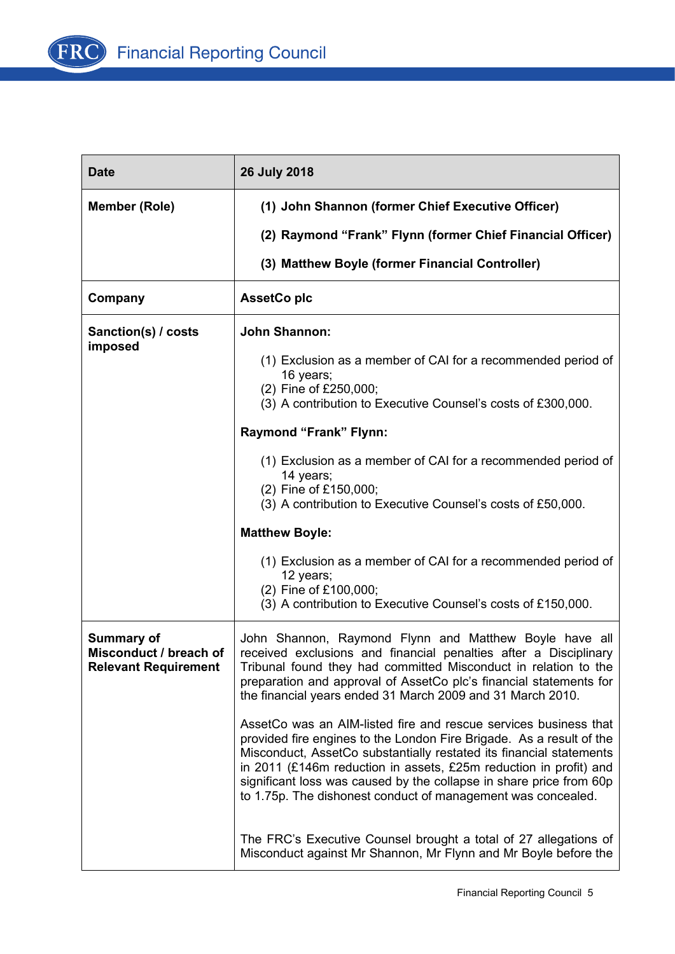

| <b>Date</b>                                                                | 26 July 2018                                                                                                                                                                                                                                                                                                                                                                                                                |  |  |  |
|----------------------------------------------------------------------------|-----------------------------------------------------------------------------------------------------------------------------------------------------------------------------------------------------------------------------------------------------------------------------------------------------------------------------------------------------------------------------------------------------------------------------|--|--|--|
| <b>Member (Role)</b>                                                       | (1) John Shannon (former Chief Executive Officer)                                                                                                                                                                                                                                                                                                                                                                           |  |  |  |
|                                                                            | (2) Raymond "Frank" Flynn (former Chief Financial Officer)                                                                                                                                                                                                                                                                                                                                                                  |  |  |  |
|                                                                            | (3) Matthew Boyle (former Financial Controller)                                                                                                                                                                                                                                                                                                                                                                             |  |  |  |
| Company                                                                    | <b>AssetCo plc</b>                                                                                                                                                                                                                                                                                                                                                                                                          |  |  |  |
| Sanction(s) / costs<br>imposed                                             | <b>John Shannon:</b>                                                                                                                                                                                                                                                                                                                                                                                                        |  |  |  |
|                                                                            | (1) Exclusion as a member of CAI for a recommended period of<br>16 years;<br>(2) Fine of £250,000;<br>(3) A contribution to Executive Counsel's costs of £300,000.                                                                                                                                                                                                                                                          |  |  |  |
|                                                                            | Raymond "Frank" Flynn:                                                                                                                                                                                                                                                                                                                                                                                                      |  |  |  |
|                                                                            | (1) Exclusion as a member of CAI for a recommended period of<br>14 years;<br>(2) Fine of £150,000;<br>(3) A contribution to Executive Counsel's costs of £50,000.                                                                                                                                                                                                                                                           |  |  |  |
|                                                                            | <b>Matthew Boyle:</b>                                                                                                                                                                                                                                                                                                                                                                                                       |  |  |  |
|                                                                            | (1) Exclusion as a member of CAI for a recommended period of<br>12 years;<br>(2) Fine of £100,000;                                                                                                                                                                                                                                                                                                                          |  |  |  |
|                                                                            | (3) A contribution to Executive Counsel's costs of £150,000.                                                                                                                                                                                                                                                                                                                                                                |  |  |  |
| <b>Summary of</b><br>Misconduct / breach of<br><b>Relevant Requirement</b> | John Shannon, Raymond Flynn and Matthew Boyle have all<br>received exclusions and financial penalties after a Disciplinary<br>Tribunal found they had committed Misconduct in relation to the<br>preparation and approval of AssetCo plc's financial statements for<br>the financial years ended 31 March 2009 and 31 March 2010.                                                                                           |  |  |  |
|                                                                            | AssetCo was an AIM-listed fire and rescue services business that<br>provided fire engines to the London Fire Brigade. As a result of the<br>Misconduct, AssetCo substantially restated its financial statements<br>in 2011 (£146m reduction in assets, £25m reduction in profit) and<br>significant loss was caused by the collapse in share price from 60p<br>to 1.75p. The dishonest conduct of management was concealed. |  |  |  |
|                                                                            | The FRC's Executive Counsel brought a total of 27 allegations of<br>Misconduct against Mr Shannon, Mr Flynn and Mr Boyle before the                                                                                                                                                                                                                                                                                         |  |  |  |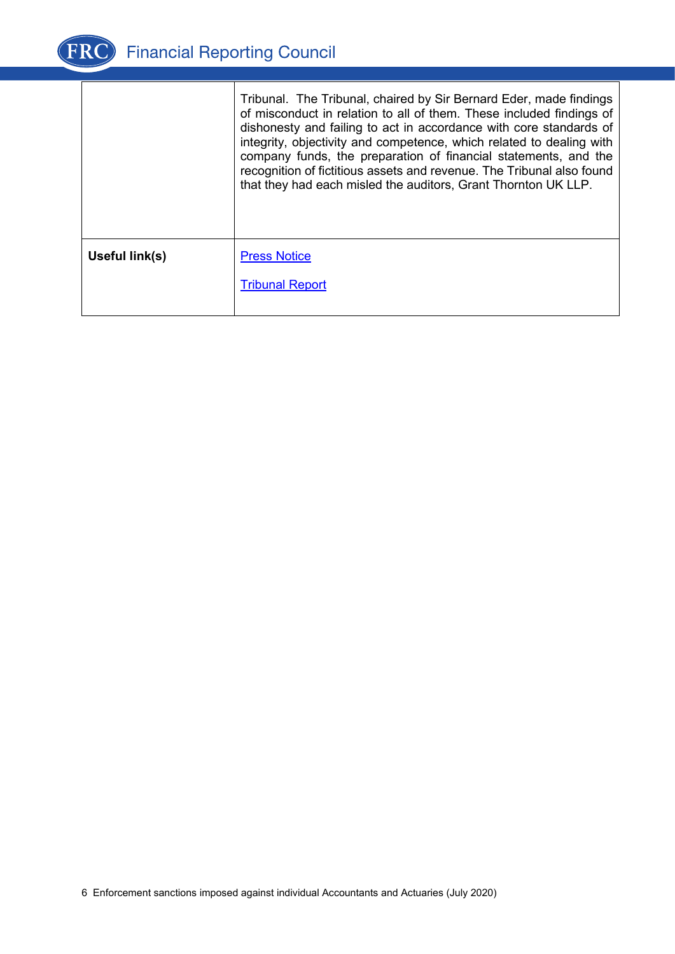

|                | Tribunal. The Tribunal, chaired by Sir Bernard Eder, made findings<br>of misconduct in relation to all of them. These included findings of<br>dishonesty and failing to act in accordance with core standards of<br>integrity, objectivity and competence, which related to dealing with<br>company funds, the preparation of financial statements, and the<br>recognition of fictitious assets and revenue. The Tribunal also found<br>that they had each misled the auditors, Grant Thornton UK LLP. |
|----------------|--------------------------------------------------------------------------------------------------------------------------------------------------------------------------------------------------------------------------------------------------------------------------------------------------------------------------------------------------------------------------------------------------------------------------------------------------------------------------------------------------------|
| Useful link(s) | <b>Press Notice</b>                                                                                                                                                                                                                                                                                                                                                                                                                                                                                    |
|                | <b>Tribunal Report</b>                                                                                                                                                                                                                                                                                                                                                                                                                                                                                 |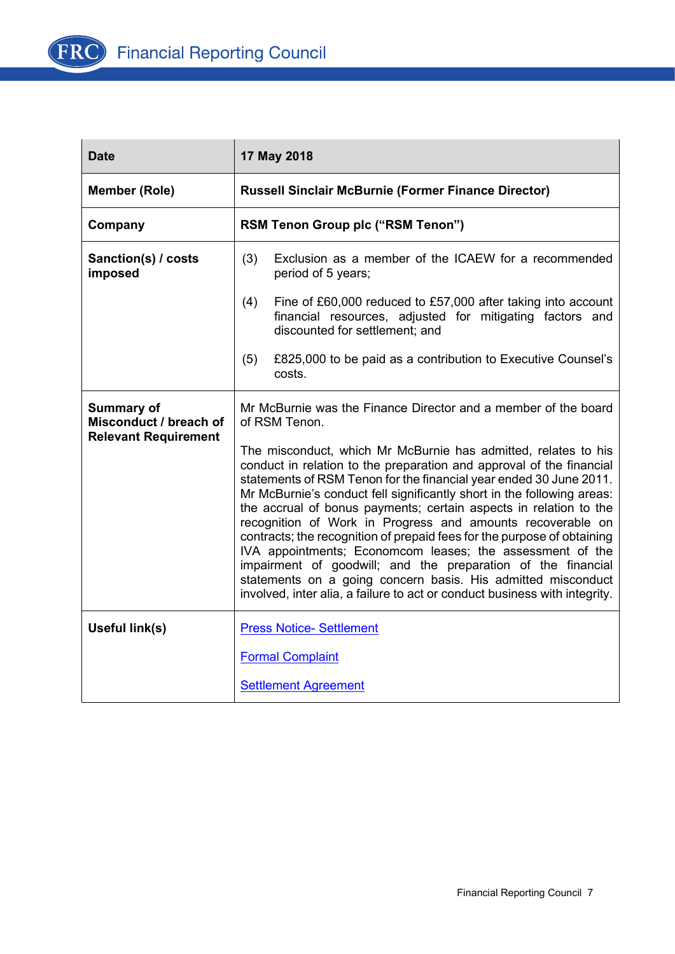

| <b>Date</b>                                                                | 17 May 2018                                                                                                                                                                                                                                                                                                                                                                                                                                                                                                                                                                                                                                                                                                                                                                     |  |  |  |
|----------------------------------------------------------------------------|---------------------------------------------------------------------------------------------------------------------------------------------------------------------------------------------------------------------------------------------------------------------------------------------------------------------------------------------------------------------------------------------------------------------------------------------------------------------------------------------------------------------------------------------------------------------------------------------------------------------------------------------------------------------------------------------------------------------------------------------------------------------------------|--|--|--|
| <b>Member (Role)</b>                                                       | <b>Russell Sinclair McBurnie (Former Finance Director)</b>                                                                                                                                                                                                                                                                                                                                                                                                                                                                                                                                                                                                                                                                                                                      |  |  |  |
| Company                                                                    | <b>RSM Tenon Group plc ("RSM Tenon")</b>                                                                                                                                                                                                                                                                                                                                                                                                                                                                                                                                                                                                                                                                                                                                        |  |  |  |
| Sanction(s) / costs<br>imposed                                             | (3)<br>Exclusion as a member of the ICAEW for a recommended<br>period of 5 years;                                                                                                                                                                                                                                                                                                                                                                                                                                                                                                                                                                                                                                                                                               |  |  |  |
|                                                                            | (4)<br>Fine of £60,000 reduced to £57,000 after taking into account<br>financial resources, adjusted for mitigating factors and<br>discounted for settlement; and                                                                                                                                                                                                                                                                                                                                                                                                                                                                                                                                                                                                               |  |  |  |
|                                                                            | £825,000 to be paid as a contribution to Executive Counsel's<br>(5)<br>costs.                                                                                                                                                                                                                                                                                                                                                                                                                                                                                                                                                                                                                                                                                                   |  |  |  |
| <b>Summary of</b><br>Misconduct / breach of<br><b>Relevant Requirement</b> | Mr McBurnie was the Finance Director and a member of the board<br>of RSM Tenon.                                                                                                                                                                                                                                                                                                                                                                                                                                                                                                                                                                                                                                                                                                 |  |  |  |
|                                                                            | The misconduct, which Mr McBurnie has admitted, relates to his<br>conduct in relation to the preparation and approval of the financial<br>statements of RSM Tenon for the financial year ended 30 June 2011.<br>Mr McBurnie's conduct fell significantly short in the following areas:<br>the accrual of bonus payments; certain aspects in relation to the<br>recognition of Work in Progress and amounts recoverable on<br>contracts; the recognition of prepaid fees for the purpose of obtaining<br>IVA appointments; Economcom leases; the assessment of the<br>impairment of goodwill; and the preparation of the financial<br>statements on a going concern basis. His admitted misconduct<br>involved, inter alia, a failure to act or conduct business with integrity. |  |  |  |
| Useful link(s)                                                             | <b>Press Notice- Settlement</b>                                                                                                                                                                                                                                                                                                                                                                                                                                                                                                                                                                                                                                                                                                                                                 |  |  |  |
|                                                                            | <b>Formal Complaint</b>                                                                                                                                                                                                                                                                                                                                                                                                                                                                                                                                                                                                                                                                                                                                                         |  |  |  |
|                                                                            | <b>Settlement Agreement</b>                                                                                                                                                                                                                                                                                                                                                                                                                                                                                                                                                                                                                                                                                                                                                     |  |  |  |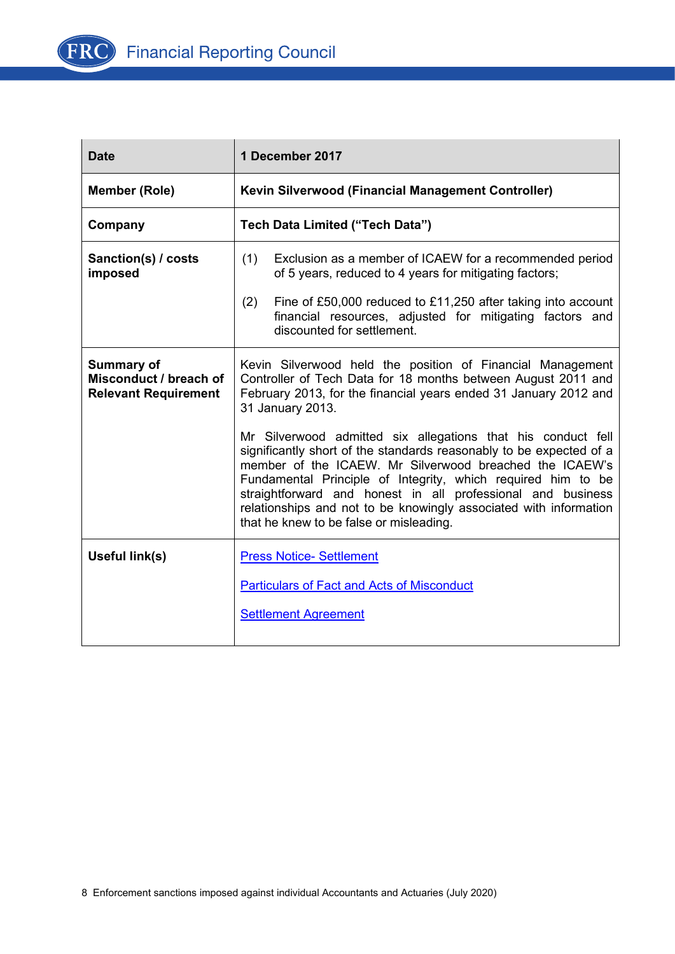

| <b>Date</b>                                                                | 1 December 2017                                                                                                                                                                                                                                                                                                                                                                                                                               |
|----------------------------------------------------------------------------|-----------------------------------------------------------------------------------------------------------------------------------------------------------------------------------------------------------------------------------------------------------------------------------------------------------------------------------------------------------------------------------------------------------------------------------------------|
| <b>Member (Role)</b>                                                       | <b>Kevin Silverwood (Financial Management Controller)</b>                                                                                                                                                                                                                                                                                                                                                                                     |
| Company                                                                    | Tech Data Limited ("Tech Data")                                                                                                                                                                                                                                                                                                                                                                                                               |
| Sanction(s) / costs<br>imposed                                             | (1)<br>Exclusion as a member of ICAEW for a recommended period<br>of 5 years, reduced to 4 years for mitigating factors;                                                                                                                                                                                                                                                                                                                      |
|                                                                            | (2)<br>Fine of £50,000 reduced to £11,250 after taking into account<br>financial resources, adjusted for mitigating factors and<br>discounted for settlement.                                                                                                                                                                                                                                                                                 |
| <b>Summary of</b><br>Misconduct / breach of<br><b>Relevant Requirement</b> | Kevin Silverwood held the position of Financial Management<br>Controller of Tech Data for 18 months between August 2011 and<br>February 2013, for the financial years ended 31 January 2012 and<br>31 January 2013.                                                                                                                                                                                                                           |
|                                                                            | Mr Silverwood admitted six allegations that his conduct fell<br>significantly short of the standards reasonably to be expected of a<br>member of the ICAEW. Mr Silverwood breached the ICAEW's<br>Fundamental Principle of Integrity, which required him to be<br>straightforward and honest in all professional and business<br>relationships and not to be knowingly associated with information<br>that he knew to be false or misleading. |
| Useful link(s)                                                             | <b>Press Notice- Settlement</b>                                                                                                                                                                                                                                                                                                                                                                                                               |
|                                                                            | <b>Particulars of Fact and Acts of Misconduct</b>                                                                                                                                                                                                                                                                                                                                                                                             |
|                                                                            | <b>Settlement Agreement</b>                                                                                                                                                                                                                                                                                                                                                                                                                   |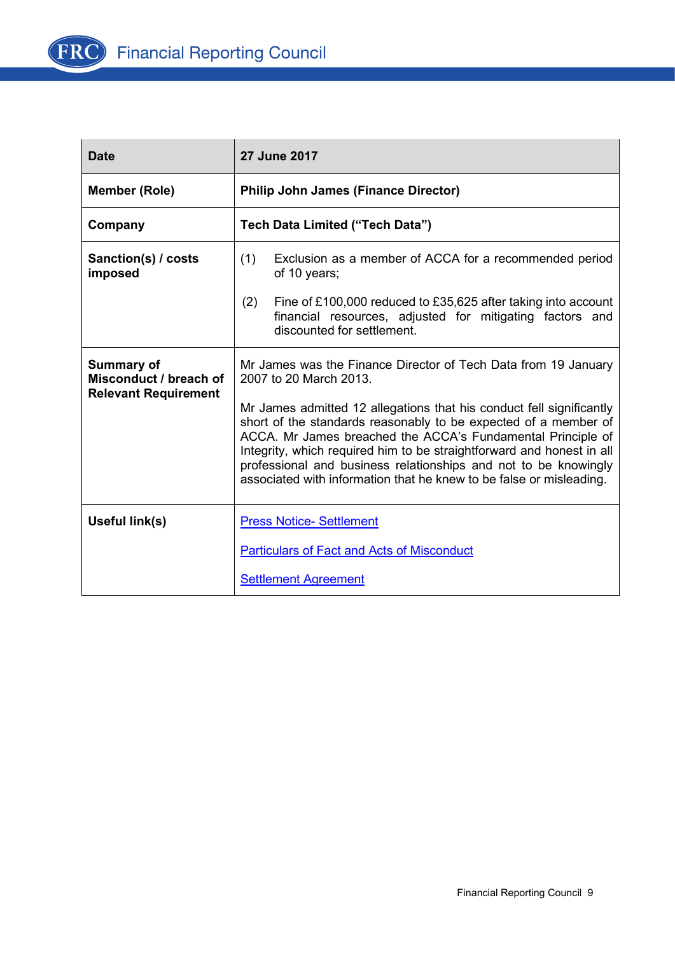

| <b>Date</b>                                                                | 27 June 2017                                                                                                                                                                                                                                                                                                                                                                                                              |  |  |  |
|----------------------------------------------------------------------------|---------------------------------------------------------------------------------------------------------------------------------------------------------------------------------------------------------------------------------------------------------------------------------------------------------------------------------------------------------------------------------------------------------------------------|--|--|--|
| <b>Member (Role)</b>                                                       | <b>Philip John James (Finance Director)</b>                                                                                                                                                                                                                                                                                                                                                                               |  |  |  |
| Company                                                                    | Tech Data Limited ("Tech Data")                                                                                                                                                                                                                                                                                                                                                                                           |  |  |  |
| Sanction(s) / costs<br>imposed                                             | (1)<br>Exclusion as a member of ACCA for a recommended period<br>of 10 years;                                                                                                                                                                                                                                                                                                                                             |  |  |  |
|                                                                            | (2)<br>Fine of £100,000 reduced to £35,625 after taking into account<br>financial resources, adjusted for mitigating factors and<br>discounted for settlement.                                                                                                                                                                                                                                                            |  |  |  |
| <b>Summary of</b><br>Misconduct / breach of<br><b>Relevant Requirement</b> | Mr James was the Finance Director of Tech Data from 19 January<br>2007 to 20 March 2013.                                                                                                                                                                                                                                                                                                                                  |  |  |  |
|                                                                            | Mr James admitted 12 allegations that his conduct fell significantly<br>short of the standards reasonably to be expected of a member of<br>ACCA. Mr James breached the ACCA's Fundamental Principle of<br>Integrity, which required him to be straightforward and honest in all<br>professional and business relationships and not to be knowingly<br>associated with information that he knew to be false or misleading. |  |  |  |
| Useful link(s)                                                             | <b>Press Notice- Settlement</b>                                                                                                                                                                                                                                                                                                                                                                                           |  |  |  |
|                                                                            | <b>Particulars of Fact and Acts of Misconduct</b>                                                                                                                                                                                                                                                                                                                                                                         |  |  |  |
|                                                                            | <b>Settlement Agreement</b>                                                                                                                                                                                                                                                                                                                                                                                               |  |  |  |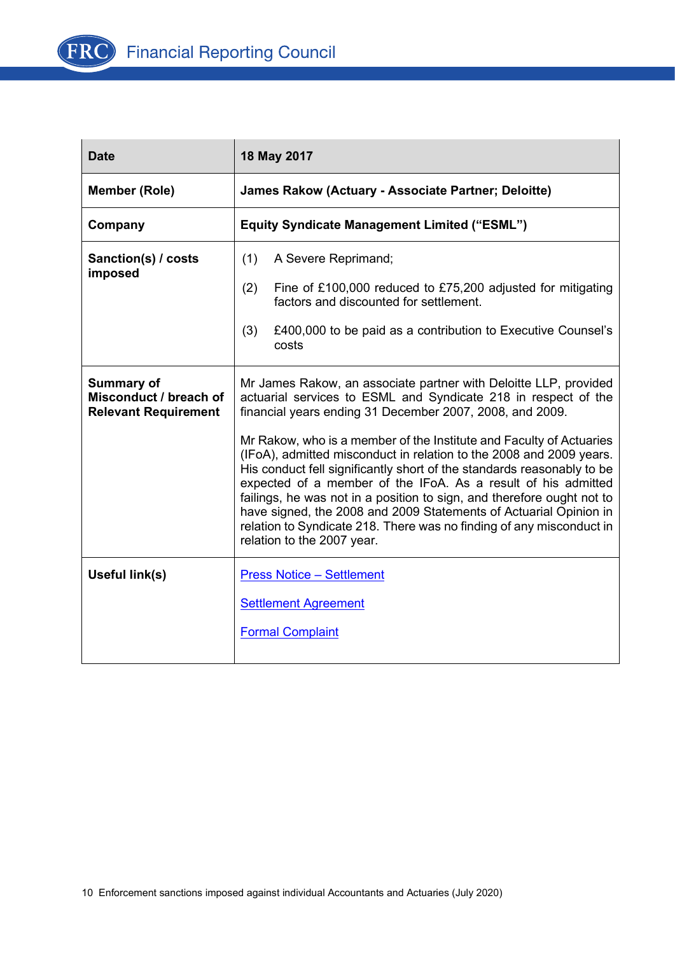

| <b>Date</b>                                                                | 18 May 2017                                                                                                                                                                                                                                                                                                                                                                                                                                                                                                                                |  |  |  |
|----------------------------------------------------------------------------|--------------------------------------------------------------------------------------------------------------------------------------------------------------------------------------------------------------------------------------------------------------------------------------------------------------------------------------------------------------------------------------------------------------------------------------------------------------------------------------------------------------------------------------------|--|--|--|
| <b>Member (Role)</b>                                                       | James Rakow (Actuary - Associate Partner; Deloitte)                                                                                                                                                                                                                                                                                                                                                                                                                                                                                        |  |  |  |
| Company                                                                    | <b>Equity Syndicate Management Limited ("ESML")</b>                                                                                                                                                                                                                                                                                                                                                                                                                                                                                        |  |  |  |
| Sanction(s) / costs<br>imposed                                             | (1)<br>A Severe Reprimand;<br>(2)<br>Fine of £100,000 reduced to £75,200 adjusted for mitigating                                                                                                                                                                                                                                                                                                                                                                                                                                           |  |  |  |
|                                                                            | factors and discounted for settlement.                                                                                                                                                                                                                                                                                                                                                                                                                                                                                                     |  |  |  |
|                                                                            | (3)<br>£400,000 to be paid as a contribution to Executive Counsel's<br>costs                                                                                                                                                                                                                                                                                                                                                                                                                                                               |  |  |  |
| <b>Summary of</b><br>Misconduct / breach of<br><b>Relevant Requirement</b> | Mr James Rakow, an associate partner with Deloitte LLP, provided<br>actuarial services to ESML and Syndicate 218 in respect of the<br>financial years ending 31 December 2007, 2008, and 2009.                                                                                                                                                                                                                                                                                                                                             |  |  |  |
|                                                                            | Mr Rakow, who is a member of the Institute and Faculty of Actuaries<br>(IFoA), admitted misconduct in relation to the 2008 and 2009 years.<br>His conduct fell significantly short of the standards reasonably to be<br>expected of a member of the IFoA. As a result of his admitted<br>failings, he was not in a position to sign, and therefore ought not to<br>have signed, the 2008 and 2009 Statements of Actuarial Opinion in<br>relation to Syndicate 218. There was no finding of any misconduct in<br>relation to the 2007 year. |  |  |  |
| Useful link(s)                                                             | <b>Press Notice - Settlement</b>                                                                                                                                                                                                                                                                                                                                                                                                                                                                                                           |  |  |  |
|                                                                            | <b>Settlement Agreement</b>                                                                                                                                                                                                                                                                                                                                                                                                                                                                                                                |  |  |  |
|                                                                            | <b>Formal Complaint</b>                                                                                                                                                                                                                                                                                                                                                                                                                                                                                                                    |  |  |  |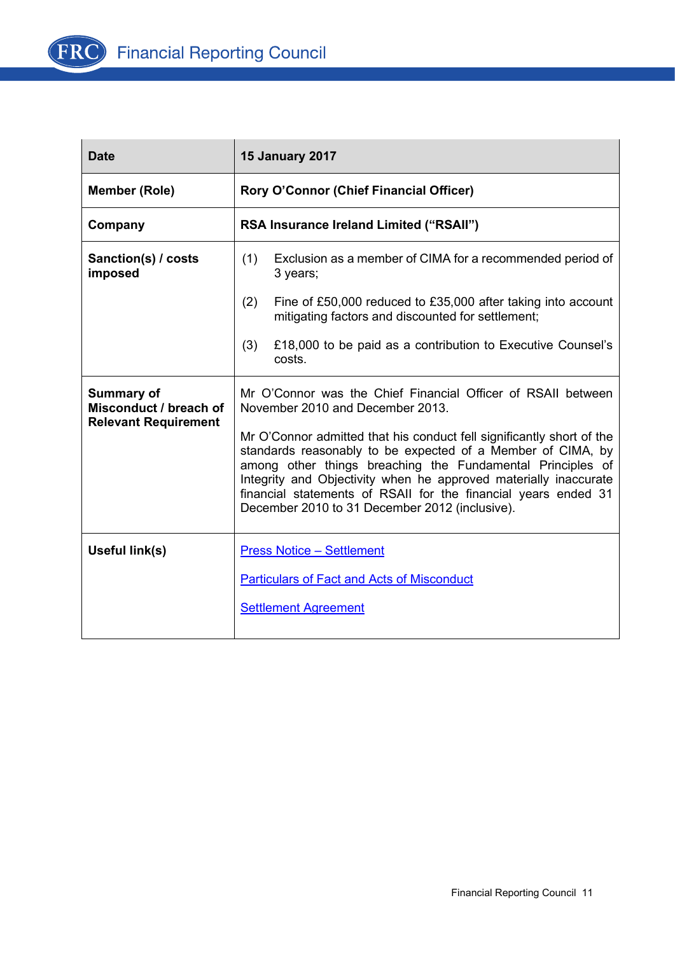

| <b>Date</b>                                                                | <b>15 January 2017</b>                                                                                                                                                                                                                                                                                                                                                                     |  |  |  |
|----------------------------------------------------------------------------|--------------------------------------------------------------------------------------------------------------------------------------------------------------------------------------------------------------------------------------------------------------------------------------------------------------------------------------------------------------------------------------------|--|--|--|
| <b>Member (Role)</b>                                                       | Rory O'Connor (Chief Financial Officer)                                                                                                                                                                                                                                                                                                                                                    |  |  |  |
| Company                                                                    | RSA Insurance Ireland Limited ("RSAII")                                                                                                                                                                                                                                                                                                                                                    |  |  |  |
| Sanction(s) / costs<br>imposed                                             | (1)<br>Exclusion as a member of CIMA for a recommended period of<br>3 years;                                                                                                                                                                                                                                                                                                               |  |  |  |
|                                                                            | (2)<br>Fine of £50,000 reduced to £35,000 after taking into account<br>mitigating factors and discounted for settlement;                                                                                                                                                                                                                                                                   |  |  |  |
|                                                                            | £18,000 to be paid as a contribution to Executive Counsel's<br>(3)<br>costs.                                                                                                                                                                                                                                                                                                               |  |  |  |
| <b>Summary of</b><br>Misconduct / breach of<br><b>Relevant Requirement</b> | Mr O'Connor was the Chief Financial Officer of RSAII between<br>November 2010 and December 2013.                                                                                                                                                                                                                                                                                           |  |  |  |
|                                                                            | Mr O'Connor admitted that his conduct fell significantly short of the<br>standards reasonably to be expected of a Member of CIMA, by<br>among other things breaching the Fundamental Principles of<br>Integrity and Objectivity when he approved materially inaccurate<br>financial statements of RSAII for the financial years ended 31<br>December 2010 to 31 December 2012 (inclusive). |  |  |  |
| Useful link(s)                                                             | <b>Press Notice - Settlement</b>                                                                                                                                                                                                                                                                                                                                                           |  |  |  |
|                                                                            | <b>Particulars of Fact and Acts of Misconduct</b>                                                                                                                                                                                                                                                                                                                                          |  |  |  |
|                                                                            | <b>Settlement Agreement</b>                                                                                                                                                                                                                                                                                                                                                                |  |  |  |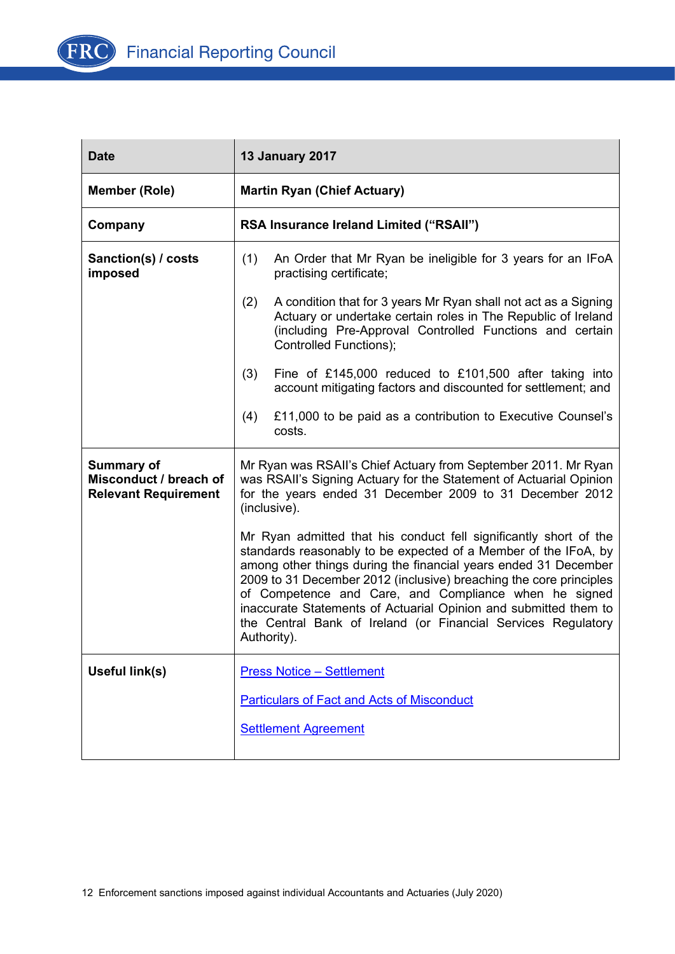

| <b>Date</b>                                                                | <b>13 January 2017</b>                                                                                                                                                                                                                                                                                                                                                                                                                                                                     |  |  |  |
|----------------------------------------------------------------------------|--------------------------------------------------------------------------------------------------------------------------------------------------------------------------------------------------------------------------------------------------------------------------------------------------------------------------------------------------------------------------------------------------------------------------------------------------------------------------------------------|--|--|--|
| <b>Member (Role)</b>                                                       | <b>Martin Ryan (Chief Actuary)</b>                                                                                                                                                                                                                                                                                                                                                                                                                                                         |  |  |  |
| Company                                                                    | RSA Insurance Ireland Limited ("RSAII")                                                                                                                                                                                                                                                                                                                                                                                                                                                    |  |  |  |
| Sanction(s) / costs<br>imposed                                             | (1)<br>An Order that Mr Ryan be ineligible for 3 years for an IFoA<br>practising certificate;                                                                                                                                                                                                                                                                                                                                                                                              |  |  |  |
|                                                                            | (2)<br>A condition that for 3 years Mr Ryan shall not act as a Signing<br>Actuary or undertake certain roles in The Republic of Ireland<br>(including Pre-Approval Controlled Functions and certain<br>Controlled Functions);                                                                                                                                                                                                                                                              |  |  |  |
|                                                                            | (3)<br>Fine of £145,000 reduced to £101,500 after taking into<br>account mitigating factors and discounted for settlement; and                                                                                                                                                                                                                                                                                                                                                             |  |  |  |
|                                                                            | £11,000 to be paid as a contribution to Executive Counsel's<br>(4)<br>costs.                                                                                                                                                                                                                                                                                                                                                                                                               |  |  |  |
| <b>Summary of</b><br>Misconduct / breach of<br><b>Relevant Requirement</b> | Mr Ryan was RSAII's Chief Actuary from September 2011. Mr Ryan<br>was RSAII's Signing Actuary for the Statement of Actuarial Opinion<br>for the years ended 31 December 2009 to 31 December 2012<br>(inclusive).                                                                                                                                                                                                                                                                           |  |  |  |
|                                                                            | Mr Ryan admitted that his conduct fell significantly short of the<br>standards reasonably to be expected of a Member of the IFoA, by<br>among other things during the financial years ended 31 December<br>2009 to 31 December 2012 (inclusive) breaching the core principles<br>of Competence and Care, and Compliance when he signed<br>inaccurate Statements of Actuarial Opinion and submitted them to<br>the Central Bank of Ireland (or Financial Services Regulatory<br>Authority). |  |  |  |
| Useful link(s)                                                             | <b>Press Notice - Settlement</b>                                                                                                                                                                                                                                                                                                                                                                                                                                                           |  |  |  |
|                                                                            | <b>Particulars of Fact and Acts of Misconduct</b>                                                                                                                                                                                                                                                                                                                                                                                                                                          |  |  |  |
|                                                                            | <b>Settlement Agreement</b>                                                                                                                                                                                                                                                                                                                                                                                                                                                                |  |  |  |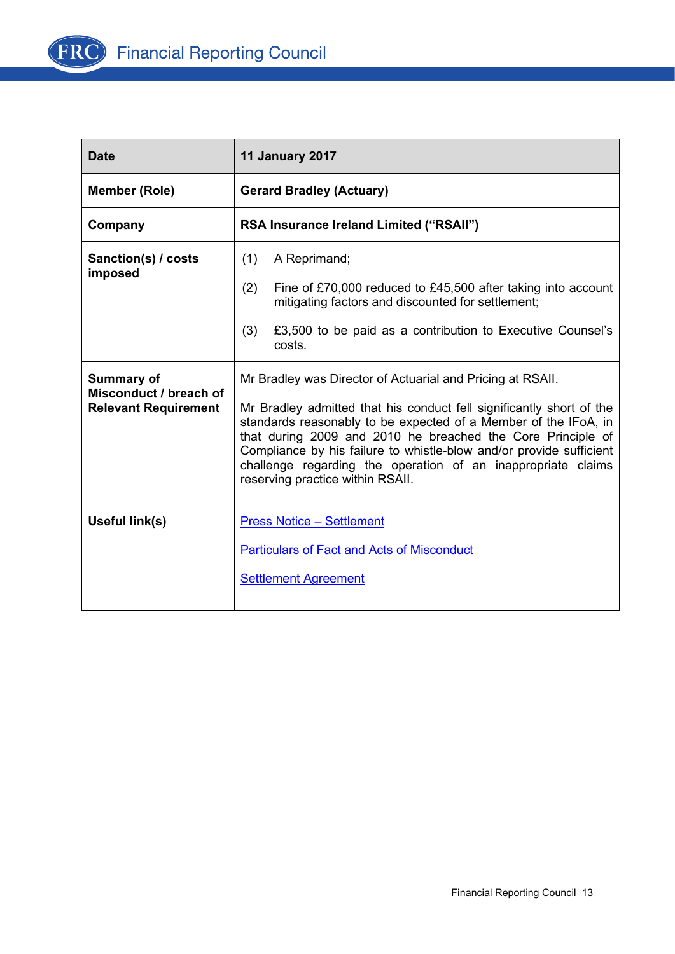

| <b>Date</b>                                                         | <b>11 January 2017</b>                                                                                                                                                                                                                                                                                                                                                                                                                          |
|---------------------------------------------------------------------|-------------------------------------------------------------------------------------------------------------------------------------------------------------------------------------------------------------------------------------------------------------------------------------------------------------------------------------------------------------------------------------------------------------------------------------------------|
| <b>Member (Role)</b>                                                | <b>Gerard Bradley (Actuary)</b>                                                                                                                                                                                                                                                                                                                                                                                                                 |
| Company                                                             | RSA Insurance Ireland Limited ("RSAII")                                                                                                                                                                                                                                                                                                                                                                                                         |
| Sanction(s) / costs<br>imposed                                      | (1)<br>A Reprimand;<br>(2)<br>Fine of £70,000 reduced to £45,500 after taking into account<br>mitigating factors and discounted for settlement;<br>(3)<br>£3,500 to be paid as a contribution to Executive Counsel's<br>costs.                                                                                                                                                                                                                  |
| Summary of<br>Misconduct / breach of<br><b>Relevant Requirement</b> | Mr Bradley was Director of Actuarial and Pricing at RSAII.<br>Mr Bradley admitted that his conduct fell significantly short of the<br>standards reasonably to be expected of a Member of the IFoA, in<br>that during 2009 and 2010 he breached the Core Principle of<br>Compliance by his failure to whistle-blow and/or provide sufficient<br>challenge regarding the operation of an inappropriate claims<br>reserving practice within RSAII. |
| Useful link(s)                                                      | <b>Press Notice - Settlement</b><br><b>Particulars of Fact and Acts of Misconduct</b><br><b>Settlement Agreement</b>                                                                                                                                                                                                                                                                                                                            |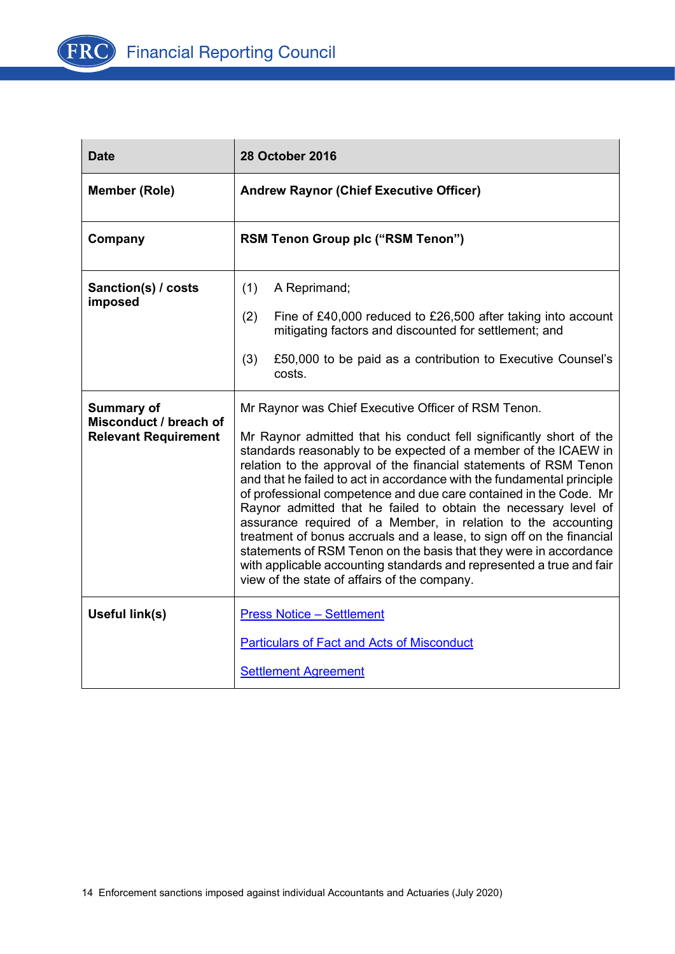

| <b>Date</b>                                                                | <b>28 October 2016</b>                                                                                                                                                                                                                                                                                                                                                                                                                                                                                                                                                                                                                                                                                                                                                                                                      |
|----------------------------------------------------------------------------|-----------------------------------------------------------------------------------------------------------------------------------------------------------------------------------------------------------------------------------------------------------------------------------------------------------------------------------------------------------------------------------------------------------------------------------------------------------------------------------------------------------------------------------------------------------------------------------------------------------------------------------------------------------------------------------------------------------------------------------------------------------------------------------------------------------------------------|
| <b>Member (Role)</b>                                                       | <b>Andrew Raynor (Chief Executive Officer)</b>                                                                                                                                                                                                                                                                                                                                                                                                                                                                                                                                                                                                                                                                                                                                                                              |
| Company                                                                    | <b>RSM Tenon Group plc ("RSM Tenon")</b>                                                                                                                                                                                                                                                                                                                                                                                                                                                                                                                                                                                                                                                                                                                                                                                    |
| Sanction(s) / costs<br>imposed                                             | (1)<br>A Reprimand;<br>(2)<br>Fine of £40,000 reduced to £26,500 after taking into account<br>mitigating factors and discounted for settlement; and<br>(3)<br>£50,000 to be paid as a contribution to Executive Counsel's<br>costs.                                                                                                                                                                                                                                                                                                                                                                                                                                                                                                                                                                                         |
| <b>Summary of</b><br>Misconduct / breach of<br><b>Relevant Requirement</b> | Mr Raynor was Chief Executive Officer of RSM Tenon.<br>Mr Raynor admitted that his conduct fell significantly short of the<br>standards reasonably to be expected of a member of the ICAEW in<br>relation to the approval of the financial statements of RSM Tenon<br>and that he failed to act in accordance with the fundamental principle<br>of professional competence and due care contained in the Code. Mr<br>Raynor admitted that he failed to obtain the necessary level of<br>assurance required of a Member, in relation to the accounting<br>treatment of bonus accruals and a lease, to sign off on the financial<br>statements of RSM Tenon on the basis that they were in accordance<br>with applicable accounting standards and represented a true and fair<br>view of the state of affairs of the company. |
| Useful link(s)                                                             | <b>Press Notice - Settlement</b><br><b>Particulars of Fact and Acts of Misconduct</b><br><b>Settlement Agreement</b>                                                                                                                                                                                                                                                                                                                                                                                                                                                                                                                                                                                                                                                                                                        |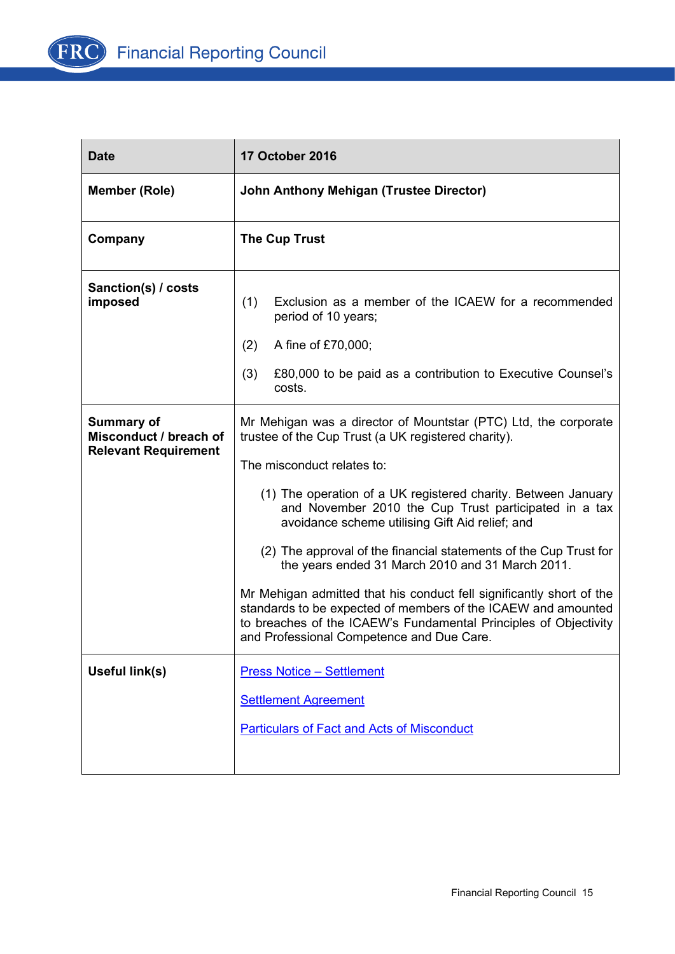

| <b>Date</b>                                                                | <b>17 October 2016</b>                                                                                                                                                                                                                                                                                                                                                                                                                                                                                                                                                                                                                                                                                               |
|----------------------------------------------------------------------------|----------------------------------------------------------------------------------------------------------------------------------------------------------------------------------------------------------------------------------------------------------------------------------------------------------------------------------------------------------------------------------------------------------------------------------------------------------------------------------------------------------------------------------------------------------------------------------------------------------------------------------------------------------------------------------------------------------------------|
| <b>Member (Role)</b>                                                       | John Anthony Mehigan (Trustee Director)                                                                                                                                                                                                                                                                                                                                                                                                                                                                                                                                                                                                                                                                              |
| Company                                                                    | <b>The Cup Trust</b>                                                                                                                                                                                                                                                                                                                                                                                                                                                                                                                                                                                                                                                                                                 |
| Sanction(s) / costs<br>imposed                                             | Exclusion as a member of the ICAEW for a recommended<br>(1)<br>period of 10 years;<br>(2)<br>A fine of £70,000;<br>(3)<br>£80,000 to be paid as a contribution to Executive Counsel's<br>costs.                                                                                                                                                                                                                                                                                                                                                                                                                                                                                                                      |
| <b>Summary of</b><br>Misconduct / breach of<br><b>Relevant Requirement</b> | Mr Mehigan was a director of Mountstar (PTC) Ltd, the corporate<br>trustee of the Cup Trust (a UK registered charity).<br>The misconduct relates to:<br>(1) The operation of a UK registered charity. Between January<br>and November 2010 the Cup Trust participated in a tax<br>avoidance scheme utilising Gift Aid relief; and<br>(2) The approval of the financial statements of the Cup Trust for<br>the years ended 31 March 2010 and 31 March 2011.<br>Mr Mehigan admitted that his conduct fell significantly short of the<br>standards to be expected of members of the ICAEW and amounted<br>to breaches of the ICAEW's Fundamental Principles of Objectivity<br>and Professional Competence and Due Care. |
| <b>Useful link(s)</b>                                                      | <b>Press Notice - Settlement</b><br><b>Settlement Agreement</b><br><b>Particulars of Fact and Acts of Misconduct</b>                                                                                                                                                                                                                                                                                                                                                                                                                                                                                                                                                                                                 |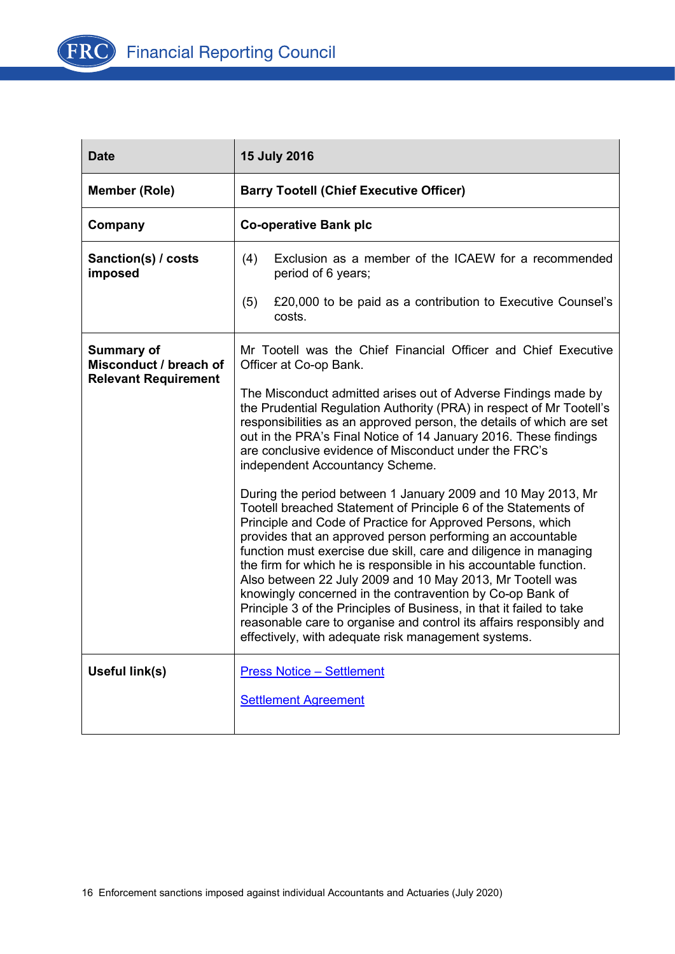

| <b>Date</b>                                 | <b>15 July 2016</b>                                                                                                                                                                                                                                                                                                                                                                                                                                                                                                                                                                                                                                                                                                                 |
|---------------------------------------------|-------------------------------------------------------------------------------------------------------------------------------------------------------------------------------------------------------------------------------------------------------------------------------------------------------------------------------------------------------------------------------------------------------------------------------------------------------------------------------------------------------------------------------------------------------------------------------------------------------------------------------------------------------------------------------------------------------------------------------------|
| <b>Member (Role)</b>                        | <b>Barry Tootell (Chief Executive Officer)</b>                                                                                                                                                                                                                                                                                                                                                                                                                                                                                                                                                                                                                                                                                      |
| Company                                     | <b>Co-operative Bank plc</b>                                                                                                                                                                                                                                                                                                                                                                                                                                                                                                                                                                                                                                                                                                        |
| Sanction(s) / costs<br>imposed              | Exclusion as a member of the ICAEW for a recommended<br>(4)<br>period of 6 years;                                                                                                                                                                                                                                                                                                                                                                                                                                                                                                                                                                                                                                                   |
|                                             | (5)<br>£20,000 to be paid as a contribution to Executive Counsel's<br>costs.                                                                                                                                                                                                                                                                                                                                                                                                                                                                                                                                                                                                                                                        |
| <b>Summary of</b><br>Misconduct / breach of | Mr Tootell was the Chief Financial Officer and Chief Executive<br>Officer at Co-op Bank.                                                                                                                                                                                                                                                                                                                                                                                                                                                                                                                                                                                                                                            |
| <b>Relevant Requirement</b>                 | The Misconduct admitted arises out of Adverse Findings made by<br>the Prudential Regulation Authority (PRA) in respect of Mr Tootell's<br>responsibilities as an approved person, the details of which are set<br>out in the PRA's Final Notice of 14 January 2016. These findings<br>are conclusive evidence of Misconduct under the FRC's<br>independent Accountancy Scheme.                                                                                                                                                                                                                                                                                                                                                      |
|                                             | During the period between 1 January 2009 and 10 May 2013, Mr<br>Tootell breached Statement of Principle 6 of the Statements of<br>Principle and Code of Practice for Approved Persons, which<br>provides that an approved person performing an accountable<br>function must exercise due skill, care and diligence in managing<br>the firm for which he is responsible in his accountable function.<br>Also between 22 July 2009 and 10 May 2013, Mr Tootell was<br>knowingly concerned in the contravention by Co-op Bank of<br>Principle 3 of the Principles of Business, in that it failed to take<br>reasonable care to organise and control its affairs responsibly and<br>effectively, with adequate risk management systems. |
| Useful link(s)                              | <b>Press Notice - Settlement</b><br><b>Settlement Agreement</b>                                                                                                                                                                                                                                                                                                                                                                                                                                                                                                                                                                                                                                                                     |
|                                             |                                                                                                                                                                                                                                                                                                                                                                                                                                                                                                                                                                                                                                                                                                                                     |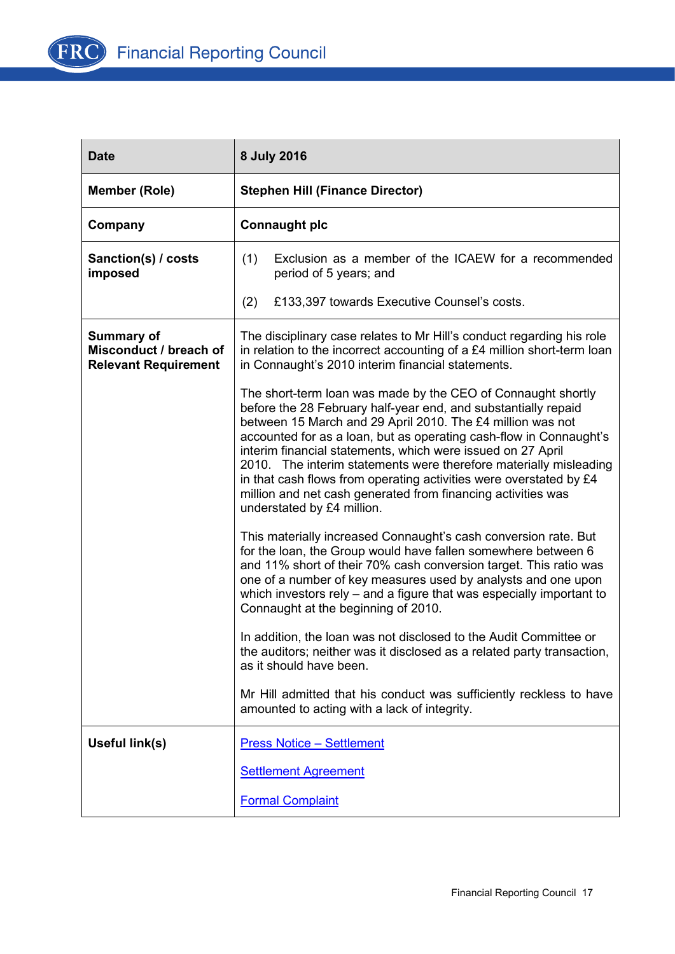

| <b>Date</b>                                                                | 8 July 2016                                                                                                                                                                                                                                                                                                                                                                                                                                                                                                                                                                |
|----------------------------------------------------------------------------|----------------------------------------------------------------------------------------------------------------------------------------------------------------------------------------------------------------------------------------------------------------------------------------------------------------------------------------------------------------------------------------------------------------------------------------------------------------------------------------------------------------------------------------------------------------------------|
| <b>Member (Role)</b>                                                       | <b>Stephen Hill (Finance Director)</b>                                                                                                                                                                                                                                                                                                                                                                                                                                                                                                                                     |
| Company                                                                    | <b>Connaught plc</b>                                                                                                                                                                                                                                                                                                                                                                                                                                                                                                                                                       |
| Sanction(s) / costs<br>imposed                                             | (1)<br>Exclusion as a member of the ICAEW for a recommended<br>period of 5 years; and                                                                                                                                                                                                                                                                                                                                                                                                                                                                                      |
|                                                                            | (2)<br>£133,397 towards Executive Counsel's costs.                                                                                                                                                                                                                                                                                                                                                                                                                                                                                                                         |
| <b>Summary of</b><br>Misconduct / breach of<br><b>Relevant Requirement</b> | The disciplinary case relates to Mr Hill's conduct regarding his role<br>in relation to the incorrect accounting of a £4 million short-term loan<br>in Connaught's 2010 interim financial statements.                                                                                                                                                                                                                                                                                                                                                                      |
|                                                                            | The short-term loan was made by the CEO of Connaught shortly<br>before the 28 February half-year end, and substantially repaid<br>between 15 March and 29 April 2010. The £4 million was not<br>accounted for as a loan, but as operating cash-flow in Connaught's<br>interim financial statements, which were issued on 27 April<br>2010. The interim statements were therefore materially misleading<br>in that cash flows from operating activities were overstated by £4<br>million and net cash generated from financing activities was<br>understated by £4 million. |
|                                                                            | This materially increased Connaught's cash conversion rate. But<br>for the loan, the Group would have fallen somewhere between 6<br>and 11% short of their 70% cash conversion target. This ratio was<br>one of a number of key measures used by analysts and one upon<br>which investors rely - and a figure that was especially important to<br>Connaught at the beginning of 2010.                                                                                                                                                                                      |
|                                                                            | In addition, the loan was not disclosed to the Audit Committee or<br>the auditors; neither was it disclosed as a related party transaction,<br>as it should have been.                                                                                                                                                                                                                                                                                                                                                                                                     |
|                                                                            | Mr Hill admitted that his conduct was sufficiently reckless to have<br>amounted to acting with a lack of integrity.                                                                                                                                                                                                                                                                                                                                                                                                                                                        |
| Useful link(s)                                                             | <b>Press Notice - Settlement</b>                                                                                                                                                                                                                                                                                                                                                                                                                                                                                                                                           |
|                                                                            | <b>Settlement Agreement</b>                                                                                                                                                                                                                                                                                                                                                                                                                                                                                                                                                |
|                                                                            | <b>Formal Complaint</b>                                                                                                                                                                                                                                                                                                                                                                                                                                                                                                                                                    |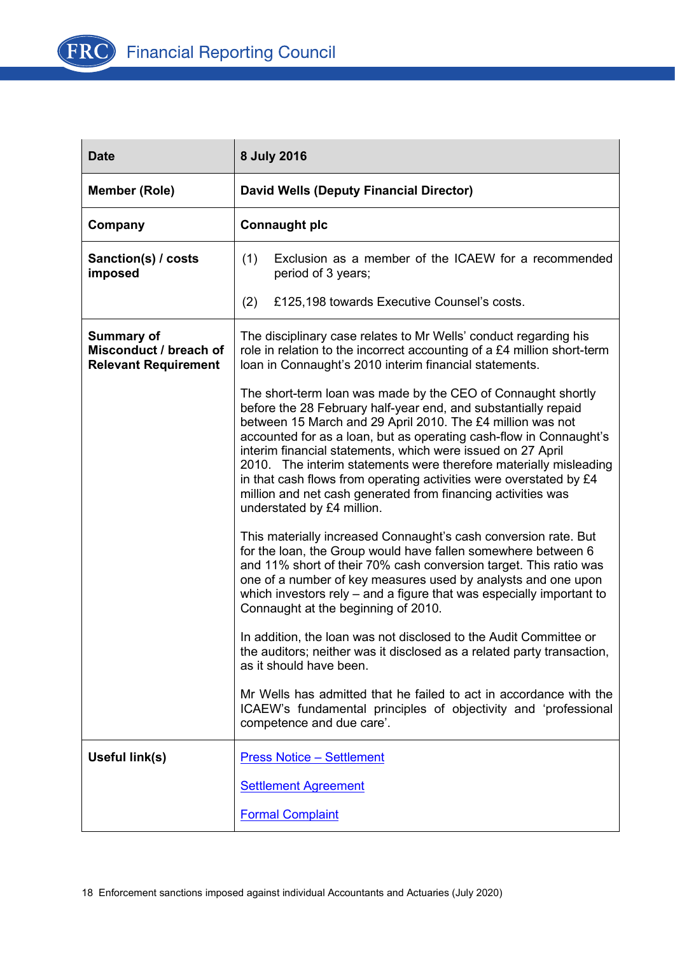

| <b>Date</b>                                                                | 8 July 2016                                                                                                                                                                                                                                                                                                                                                                                                                                                                                                                                                                |
|----------------------------------------------------------------------------|----------------------------------------------------------------------------------------------------------------------------------------------------------------------------------------------------------------------------------------------------------------------------------------------------------------------------------------------------------------------------------------------------------------------------------------------------------------------------------------------------------------------------------------------------------------------------|
| <b>Member (Role)</b>                                                       | <b>David Wells (Deputy Financial Director)</b>                                                                                                                                                                                                                                                                                                                                                                                                                                                                                                                             |
| Company                                                                    | <b>Connaught plc</b>                                                                                                                                                                                                                                                                                                                                                                                                                                                                                                                                                       |
| Sanction(s) / costs<br>imposed                                             | Exclusion as a member of the ICAEW for a recommended<br>(1)<br>period of 3 years;                                                                                                                                                                                                                                                                                                                                                                                                                                                                                          |
|                                                                            | (2)<br>£125,198 towards Executive Counsel's costs.                                                                                                                                                                                                                                                                                                                                                                                                                                                                                                                         |
| <b>Summary of</b><br>Misconduct / breach of<br><b>Relevant Requirement</b> | The disciplinary case relates to Mr Wells' conduct regarding his<br>role in relation to the incorrect accounting of a £4 million short-term<br>Ioan in Connaught's 2010 interim financial statements.                                                                                                                                                                                                                                                                                                                                                                      |
|                                                                            | The short-term loan was made by the CEO of Connaught shortly<br>before the 28 February half-year end, and substantially repaid<br>between 15 March and 29 April 2010. The £4 million was not<br>accounted for as a loan, but as operating cash-flow in Connaught's<br>interim financial statements, which were issued on 27 April<br>2010. The interim statements were therefore materially misleading<br>in that cash flows from operating activities were overstated by £4<br>million and net cash generated from financing activities was<br>understated by £4 million. |
|                                                                            | This materially increased Connaught's cash conversion rate. But<br>for the loan, the Group would have fallen somewhere between 6<br>and 11% short of their 70% cash conversion target. This ratio was<br>one of a number of key measures used by analysts and one upon<br>which investors rely $-$ and a figure that was especially important to<br>Connaught at the beginning of 2010.                                                                                                                                                                                    |
|                                                                            | In addition, the loan was not disclosed to the Audit Committee or<br>the auditors; neither was it disclosed as a related party transaction,<br>as it should have been.                                                                                                                                                                                                                                                                                                                                                                                                     |
|                                                                            | Mr Wells has admitted that he failed to act in accordance with the<br>ICAEW's fundamental principles of objectivity and 'professional<br>competence and due care'.                                                                                                                                                                                                                                                                                                                                                                                                         |
| Useful link(s)                                                             | <b>Press Notice - Settlement</b>                                                                                                                                                                                                                                                                                                                                                                                                                                                                                                                                           |
|                                                                            | <b>Settlement Agreement</b>                                                                                                                                                                                                                                                                                                                                                                                                                                                                                                                                                |
|                                                                            | <b>Formal Complaint</b>                                                                                                                                                                                                                                                                                                                                                                                                                                                                                                                                                    |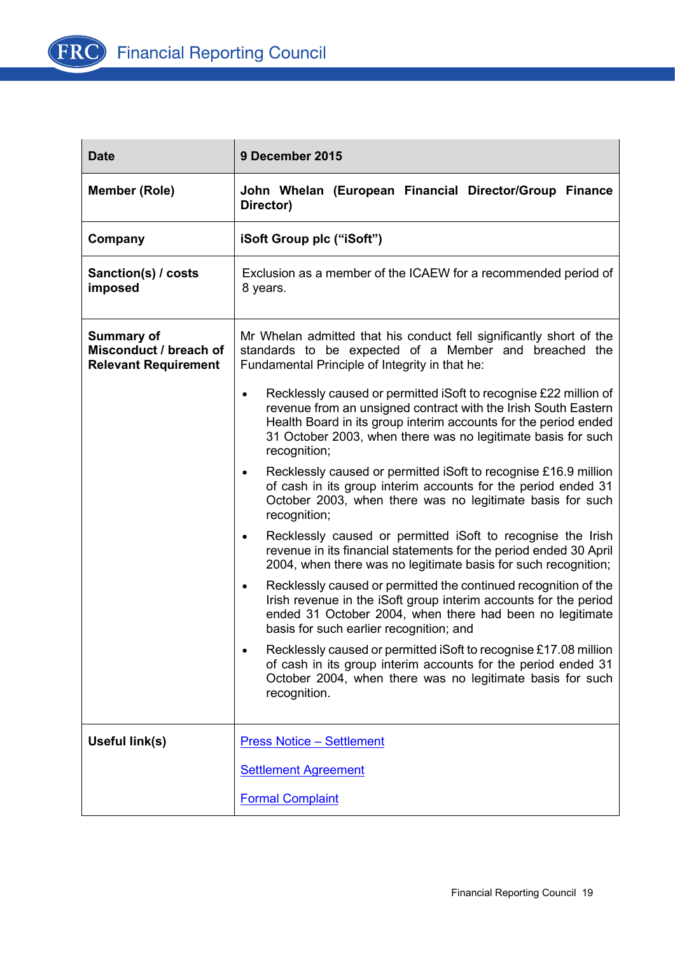

| <b>Date</b>                                                                | 9 December 2015                                                                                                                                                                                                                                                                                    |
|----------------------------------------------------------------------------|----------------------------------------------------------------------------------------------------------------------------------------------------------------------------------------------------------------------------------------------------------------------------------------------------|
| <b>Member (Role)</b>                                                       | John Whelan (European Financial Director/Group Finance<br>Director)                                                                                                                                                                                                                                |
| Company                                                                    | iSoft Group plc ("iSoft")                                                                                                                                                                                                                                                                          |
| Sanction(s) / costs<br>imposed                                             | Exclusion as a member of the ICAEW for a recommended period of<br>8 years.                                                                                                                                                                                                                         |
| <b>Summary of</b><br>Misconduct / breach of<br><b>Relevant Requirement</b> | Mr Whelan admitted that his conduct fell significantly short of the<br>standards to be expected of a Member and breached the<br>Fundamental Principle of Integrity in that he:                                                                                                                     |
|                                                                            | Recklessly caused or permitted iSoft to recognise £22 million of<br>$\bullet$<br>revenue from an unsigned contract with the Irish South Eastern<br>Health Board in its group interim accounts for the period ended<br>31 October 2003, when there was no legitimate basis for such<br>recognition; |
|                                                                            | Recklessly caused or permitted iSoft to recognise £16.9 million<br>of cash in its group interim accounts for the period ended 31<br>October 2003, when there was no legitimate basis for such<br>recognition;                                                                                      |
|                                                                            | Recklessly caused or permitted iSoft to recognise the Irish<br>$\bullet$<br>revenue in its financial statements for the period ended 30 April<br>2004, when there was no legitimate basis for such recognition;                                                                                    |
|                                                                            | Recklessly caused or permitted the continued recognition of the<br>$\bullet$<br>Irish revenue in the iSoft group interim accounts for the period<br>ended 31 October 2004, when there had been no legitimate<br>basis for such earlier recognition; and                                            |
|                                                                            | Recklessly caused or permitted iSoft to recognise £17.08 million<br>of cash in its group interim accounts for the period ended 31<br>October 2004, when there was no legitimate basis for such<br>recognition.                                                                                     |
| Useful link(s)                                                             | <b>Press Notice - Settlement</b>                                                                                                                                                                                                                                                                   |
|                                                                            | <b>Settlement Agreement</b>                                                                                                                                                                                                                                                                        |
|                                                                            | <b>Formal Complaint</b>                                                                                                                                                                                                                                                                            |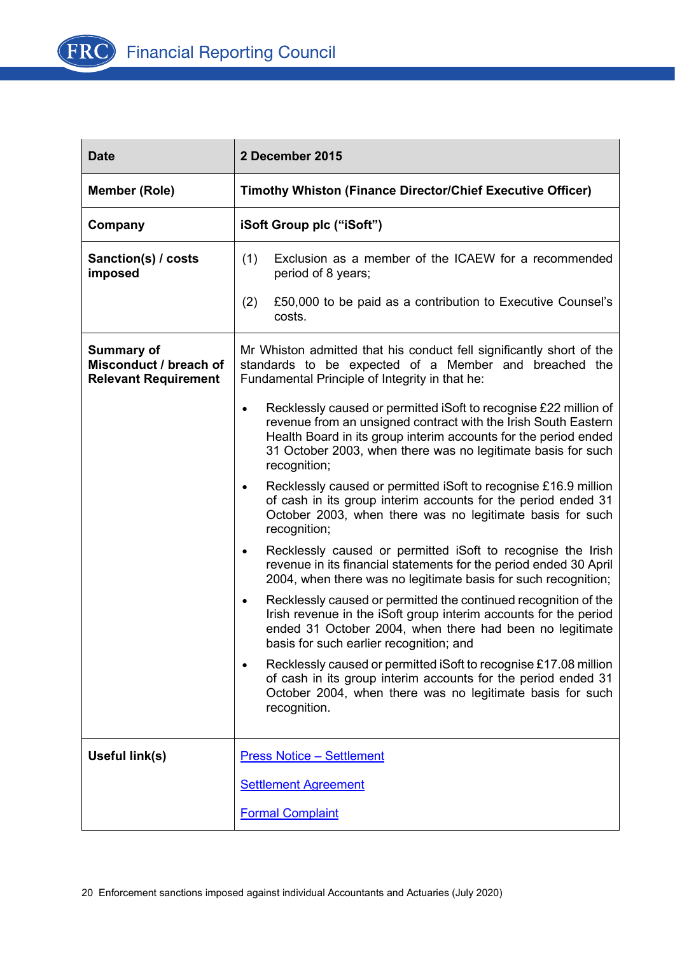

| <b>Date</b>                                                                | 2 December 2015                                                                                                                                                                                                                                                                                    |
|----------------------------------------------------------------------------|----------------------------------------------------------------------------------------------------------------------------------------------------------------------------------------------------------------------------------------------------------------------------------------------------|
| <b>Member (Role)</b>                                                       | <b>Timothy Whiston (Finance Director/Chief Executive Officer)</b>                                                                                                                                                                                                                                  |
| Company                                                                    | iSoft Group plc ("iSoft")                                                                                                                                                                                                                                                                          |
| Sanction(s) / costs<br>imposed                                             | (1)<br>Exclusion as a member of the ICAEW for a recommended<br>period of 8 years;                                                                                                                                                                                                                  |
|                                                                            | (2)<br>£50,000 to be paid as a contribution to Executive Counsel's<br>costs.                                                                                                                                                                                                                       |
| <b>Summary of</b><br>Misconduct / breach of<br><b>Relevant Requirement</b> | Mr Whiston admitted that his conduct fell significantly short of the<br>standards to be expected of a Member and breached the<br>Fundamental Principle of Integrity in that he:                                                                                                                    |
|                                                                            | Recklessly caused or permitted iSoft to recognise £22 million of<br>$\bullet$<br>revenue from an unsigned contract with the Irish South Eastern<br>Health Board in its group interim accounts for the period ended<br>31 October 2003, when there was no legitimate basis for such<br>recognition; |
|                                                                            | Recklessly caused or permitted iSoft to recognise £16.9 million<br>of cash in its group interim accounts for the period ended 31<br>October 2003, when there was no legitimate basis for such<br>recognition;                                                                                      |
|                                                                            | Recklessly caused or permitted iSoft to recognise the Irish<br>revenue in its financial statements for the period ended 30 April<br>2004, when there was no legitimate basis for such recognition;                                                                                                 |
|                                                                            | Recklessly caused or permitted the continued recognition of the<br>Irish revenue in the iSoft group interim accounts for the period<br>ended 31 October 2004, when there had been no legitimate<br>basis for such earlier recognition; and                                                         |
|                                                                            | Recklessly caused or permitted iSoft to recognise £17.08 million<br>of cash in its group interim accounts for the period ended 31<br>October 2004, when there was no legitimate basis for such<br>recognition.                                                                                     |
| Useful link(s)                                                             | <b>Press Notice - Settlement</b>                                                                                                                                                                                                                                                                   |
|                                                                            | <b>Settlement Agreement</b>                                                                                                                                                                                                                                                                        |
|                                                                            | <b>Formal Complaint</b>                                                                                                                                                                                                                                                                            |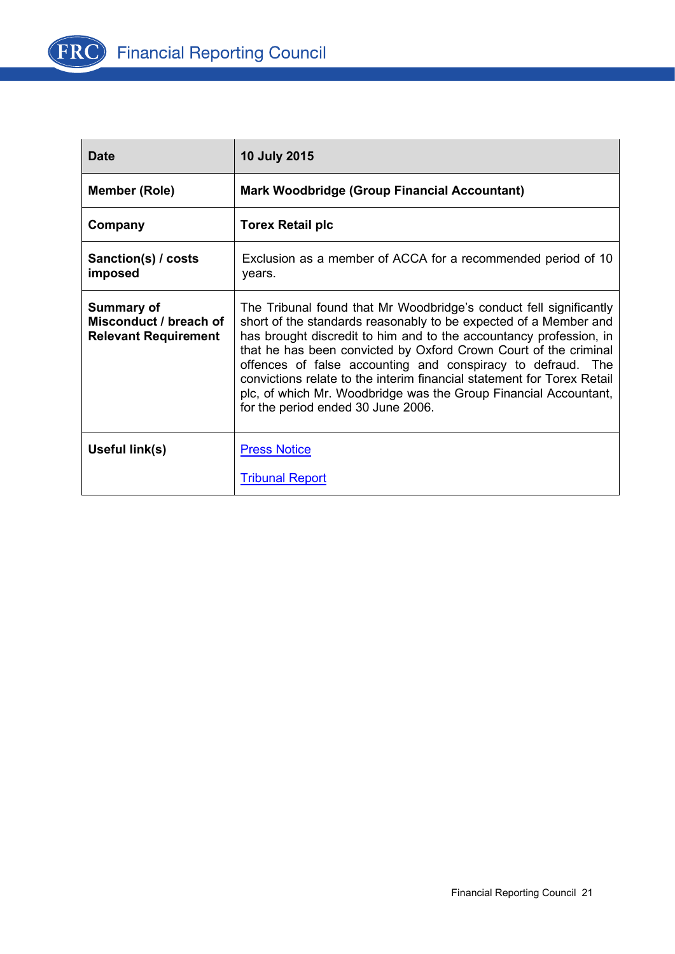

| <b>Date</b>                                                                | <b>10 July 2015</b>                                                                                                                                                                                                                                                                                                                                                                                                                                                                                                                 |
|----------------------------------------------------------------------------|-------------------------------------------------------------------------------------------------------------------------------------------------------------------------------------------------------------------------------------------------------------------------------------------------------------------------------------------------------------------------------------------------------------------------------------------------------------------------------------------------------------------------------------|
| <b>Member (Role)</b>                                                       | <b>Mark Woodbridge (Group Financial Accountant)</b>                                                                                                                                                                                                                                                                                                                                                                                                                                                                                 |
| Company                                                                    | <b>Torex Retail plc</b>                                                                                                                                                                                                                                                                                                                                                                                                                                                                                                             |
| Sanction(s) / costs<br>imposed                                             | Exclusion as a member of ACCA for a recommended period of 10<br>years.                                                                                                                                                                                                                                                                                                                                                                                                                                                              |
| <b>Summary of</b><br>Misconduct / breach of<br><b>Relevant Requirement</b> | The Tribunal found that Mr Woodbridge's conduct fell significantly<br>short of the standards reasonably to be expected of a Member and<br>has brought discredit to him and to the accountancy profession, in<br>that he has been convicted by Oxford Crown Court of the criminal<br>offences of false accounting and conspiracy to defraud. The<br>convictions relate to the interim financial statement for Torex Retail<br>plc, of which Mr. Woodbridge was the Group Financial Accountant,<br>for the period ended 30 June 2006. |
| Useful link(s)                                                             | <b>Press Notice</b>                                                                                                                                                                                                                                                                                                                                                                                                                                                                                                                 |
|                                                                            | <b>Tribunal Report</b>                                                                                                                                                                                                                                                                                                                                                                                                                                                                                                              |